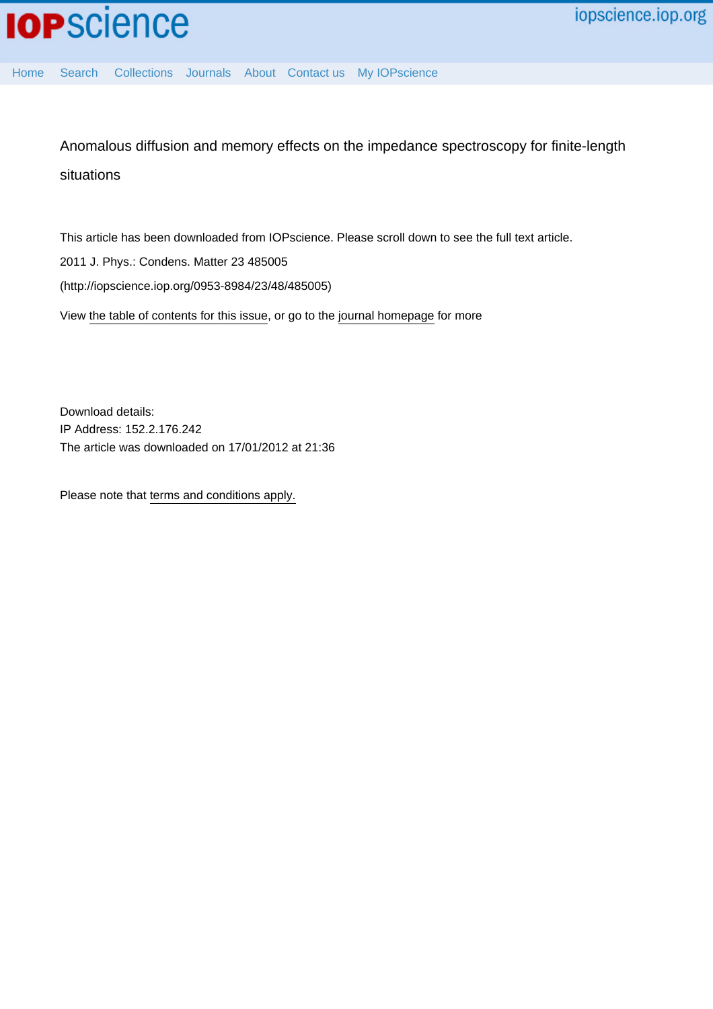[Home](http://iopscience.iop.org/) [Search](http://iopscience.iop.org/search) [Collections](http://iopscience.iop.org/collections) [Journals](http://iopscience.iop.org/journals) [About](http://iopscience.iop.org/page/aboutioppublishing) [Contact us](http://iopscience.iop.org/contact) [My IOPscience](http://iopscience.iop.org/myiopscience)

Anomalous diffusion and memory effects on the impedance spectroscopy for finite-length situations

This article has been downloaded from IOPscience. Please scroll down to see the full text article.

2011 J. Phys.: Condens. Matter 23 485005

(http://iopscience.iop.org/0953-8984/23/48/485005)

View [the table of contents for this issue](http://iopscience.iop.org/0953-8984/23/48), or go to the [journal homepage](http://iopscience.iop.org/0953-8984) for more

Download details: IP Address: 152.2.176.242 The article was downloaded on 17/01/2012 at 21:36

Please note that [terms and conditions apply.](http://iopscience.iop.org/page/terms)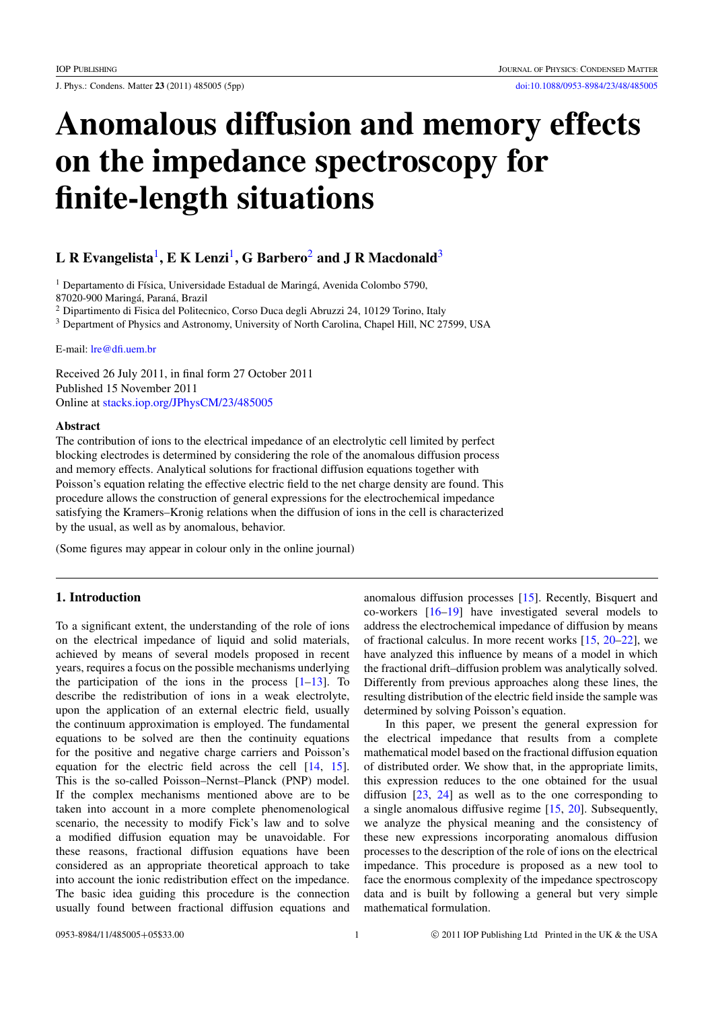<span id="page-1-4"></span>

# Anomalous diffusion and memory effects on the impedance spectroscopy for finite-length situations

# L R Evangelista $^1$  $^1$ , E K Lenzi $^1$ , G Barbero $^2$  $^2$  and J R Macdonald $^3$  $^3$

<span id="page-1-0"></span><sup>1</sup> Departamento di Física, Universidade Estadual de Maringá, Avenida Colombo 5790, 87020-900 Maringá, Paraná, Brazil

<span id="page-1-1"></span><sup>2</sup> Dipartimento di Fisica del Politecnico, Corso Duca degli Abruzzi 24, 10129 Torino, Italy

<span id="page-1-2"></span><sup>3</sup> Department of Physics and Astronomy, University of North Carolina, Chapel Hill, NC 27599, USA

E-mail: [lre@dfi.uem.br](mailto:lre@dfi.uem.br)

Received 26 July 2011, in final form 27 October 2011 Published 15 November 2011 Online at [stacks.iop.org/JPhysCM/23/485005](http://stacks.iop.org/JPhysCM/23/485005)

#### Abstract

The contribution of ions to the electrical impedance of an electrolytic cell limited by perfect blocking electrodes is determined by considering the role of the anomalous diffusion process and memory effects. Analytical solutions for fractional diffusion equations together with Poisson's equation relating the effective electric field to the net charge density are found. This procedure allows the construction of general expressions for the electrochemical impedance satisfying the Kramers–Kronig relations when the diffusion of ions in the cell is characterized by the usual, as well as by anomalous, behavior.

(Some figures may appear in colour only in the online journal)

## 1. Introduction

To a significant extent, the understanding of the role of ions on the electrical impedance of liquid and solid materials, achieved by means of several models proposed in recent years, requires a focus on the possible mechanisms underlying the participation of the ions in the process  $[1-13]$  $[1-13]$ . To describe the redistribution of ions in a weak electrolyte, upon the application of an external electric field, usually the continuum approximation is employed. The fundamental equations to be solved are then the continuity equations for the positive and negative charge carriers and Poisson's equation for the electric field across the cell [\[14,](#page-5-2) [15\]](#page-5-3). This is the so-called Poisson–Nernst–Planck (PNP) model. If the complex mechanisms mentioned above are to be taken into account in a more complete phenomenological scenario, the necessity to modify Fick's law and to solve a modified diffusion equation may be unavoidable. For these reasons, fractional diffusion equations have been considered as an appropriate theoretical approach to take into account the ionic redistribution effect on the impedance. The basic idea guiding this procedure is the connection usually found between fractional diffusion equations and

anomalous diffusion processes [\[15\]](#page-5-3). Recently, Bisquert and co-workers [\[16–](#page-5-4)[19\]](#page-5-5) have investigated several models to address the electrochemical impedance of diffusion by means of fractional calculus. In more recent works [\[15,](#page-5-3) [20](#page-5-6)[–22\]](#page-5-7), we have analyzed this influence by means of a model in which the fractional drift–diffusion problem was analytically solved. Differently from previous approaches along these lines, the resulting distribution of the electric field inside the sample was determined by solving Poisson's equation.

<span id="page-1-3"></span>In this paper, we present the general expression for the electrical impedance that results from a complete mathematical model based on the fractional diffusion equation of distributed order. We show that, in the appropriate limits, this expression reduces to the one obtained for the usual diffusion  $[23, 24]$  $[23, 24]$  $[23, 24]$  as well as to the one corresponding to a single anomalous diffusive regime [\[15,](#page-5-3) [20\]](#page-5-6). Subsequently, we analyze the physical meaning and the consistency of these new expressions incorporating anomalous diffusion processes to the description of the role of ions on the electrical impedance. This procedure is proposed as a new tool to face the enormous complexity of the impedance spectroscopy data and is built by following a general but very simple mathematical formulation.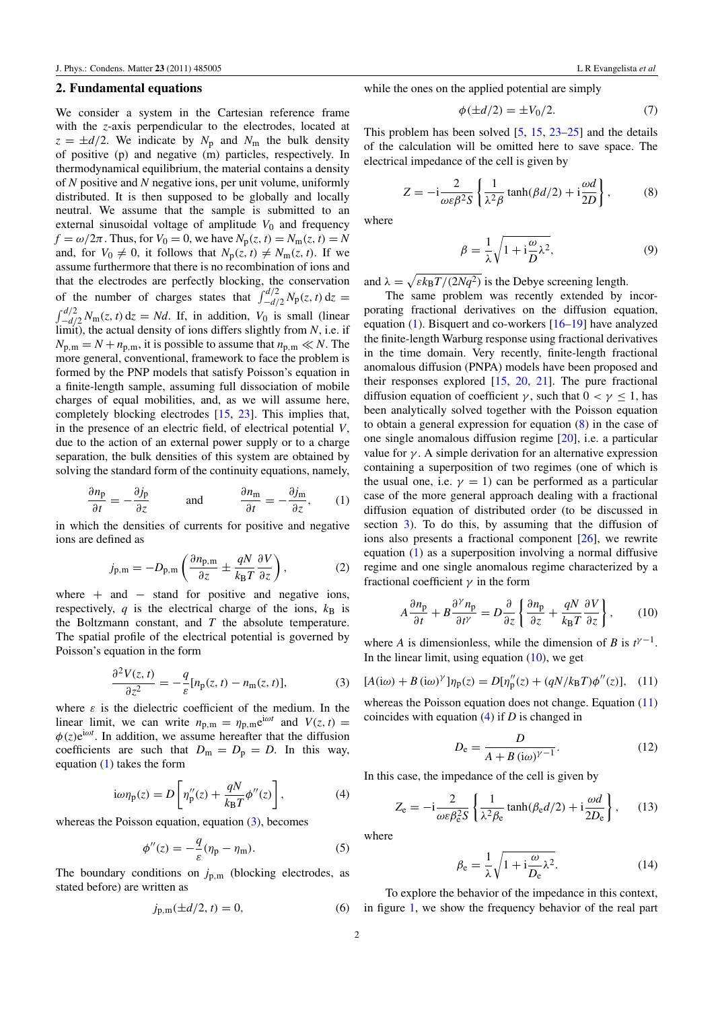#### 2. Fundamental equations

We consider a system in the Cartesian reference frame with the *z*-axis perpendicular to the electrodes, located at  $z = \pm d/2$ . We indicate by  $N_p$  and  $N_m$  the bulk density of positive (p) and negative (m) particles, respectively. In thermodynamical equilibrium, the material contains a density of *N* positive and *N* negative ions, per unit volume, uniformly distributed. It is then supposed to be globally and locally neutral. We assume that the sample is submitted to an external sinusoidal voltage of amplitude  $V_0$  and frequency  $f = \omega/2\pi$ . Thus, for  $V_0 = 0$ , we have  $N_p(z, t) = N_m(z, t) = N$ and, for  $V_0 \neq 0$ , it follows that  $N_p(z, t) \neq N_m(z, t)$ . If we assume furthermore that there is no recombination of ions and that the electrodes are perfectly blocking, the conservation of the number of charges states that  $\int_{-d/2}^{d/2} N_{\rm p}(z, t) dz =$  $\int_{-d/2}^{d/2} N_{\rm m}(z, t) dz = Nd$ . If, in addition,  $V_0$  is small (linear  $\lim_{x \to a}$ , the actual density of ions differs slightly from *N*, i.e. if  $N_{p,m} = N + n_{p,m}$ , it is possible to assume that  $n_{p,m} \ll N$ . The more general, conventional, framework to face the problem is formed by the PNP models that satisfy Poisson's equation in a finite-length sample, assuming full dissociation of mobile charges of equal mobilities, and, as we will assume here, completely blocking electrodes [\[15,](#page-5-3) [23\]](#page-5-8). This implies that, in the presence of an electric field, of electrical potential *V*, due to the action of an external power supply or to a charge separation, the bulk densities of this system are obtained by solving the standard form of the continuity equations, namely,

$$
\frac{\partial n_{\rm p}}{\partial t} = -\frac{\partial j_{\rm p}}{\partial z} \qquad \text{and} \qquad \frac{\partial n_{\rm m}}{\partial t} = -\frac{\partial j_{\rm m}}{\partial z}, \qquad (1)
$$

in which the densities of currents for positive and negative ions are defined as

$$
j_{p,m} = -D_{p,m} \left( \frac{\partial n_{p,m}}{\partial z} \pm \frac{qN}{k_B T} \frac{\partial V}{\partial z} \right),\tag{2}
$$

where  $+$  and  $-$  stand for positive and negative ions, respectively,  $q$  is the electrical charge of the ions,  $k<sub>B</sub>$  is the Boltzmann constant, and *T* the absolute temperature. The spatial profile of the electrical potential is governed by Poisson's equation in the form

$$
\frac{\partial^2 V(z,t)}{\partial z^2} = -\frac{q}{\varepsilon} [n_p(z,t) - n_m(z,t)],\tag{3}
$$

where  $\varepsilon$  is the dielectric coefficient of the medium. In the linear limit, we can write  $n_{p,m} = \eta_{p,m} e^{i\omega t}$  and  $V(z, t) =$  $\phi(z)e^{i\omega t}$ . In addition, we assume hereafter that the diffusion coefficients are such that  $D_m = D_p = D$ . In this way, equation [\(1\)](#page-2-0) takes the form

$$
i\omega \eta_{\rm p}(z) = D \left[ \eta_{\rm p}''(z) + \frac{qN}{k_{\rm B}T} \phi''(z) \right],\tag{4}
$$

whereas the Poisson equation, equation  $(3)$ , becomes

$$
\phi''(z) = -\frac{q}{\varepsilon}(\eta_{\rm p} - \eta_{\rm m}).\tag{5}
$$

The boundary conditions on  $j_{p,m}$  (blocking electrodes, as stated before) are written as

$$
j_{p,m}(\pm d/2, t) = 0,
$$
 (6)

while the ones on the applied potential are simply

$$
\phi(\pm d/2) = \pm V_0/2. \tag{7}
$$

This problem has been solved [\[5,](#page-5-10) [15,](#page-5-3) [23](#page-5-8)[–25\]](#page-5-11) and the details of the calculation will be omitted here to save space. The electrical impedance of the cell is given by

$$
Z = -i \frac{2}{\omega \varepsilon \beta^2 S} \left\{ \frac{1}{\lambda^2 \beta} \tanh(\beta d/2) + i \frac{\omega d}{2D} \right\},\tag{8}
$$

where

<span id="page-2-2"></span>
$$
\beta = \frac{1}{\lambda} \sqrt{1 + i \frac{\omega}{D} \lambda^2},\tag{9}
$$

and  $\lambda = \sqrt{\varepsilon k_B T/(2Nq^2)}$  is the Debye screening length.

The same problem was recently extended by incorporating fractional derivatives on the diffusion equation, equation [\(1\)](#page-2-0). Bisquert and co-workers [\[16](#page-5-4)[–19\]](#page-5-5) have analyzed the finite-length Warburg response using fractional derivatives in the time domain. Very recently, finite-length fractional anomalous diffusion (PNPA) models have been proposed and their responses explored  $[15, 20, 21]$  $[15, 20, 21]$  $[15, 20, 21]$  $[15, 20, 21]$  $[15, 20, 21]$ . The pure fractional diffusion equation of coefficient  $\gamma$ , such that  $0 < \gamma \leq 1$ , has been analytically solved together with the Poisson equation to obtain a general expression for equation  $(8)$  in the case of one single anomalous diffusion regime [\[20\]](#page-5-6), i.e. a particular value for  $\gamma$ . A simple derivation for an alternative expression containing a superposition of two regimes (one of which is the usual one, i.e.  $\gamma = 1$ ) can be performed as a particular case of the more general approach dealing with a fractional diffusion equation of distributed order (to be discussed in section [3\)](#page-3-0). To do this, by assuming that the diffusion of ions also presents a fractional component  $[26]$ , we rewrite equation [\(1\)](#page-2-0) as a superposition involving a normal diffusive regime and one single anomalous regime characterized by a fractional coefficient  $\gamma$  in the form

<span id="page-2-0"></span>
$$
A\frac{\partial n_{\rm p}}{\partial t} + B\frac{\partial^{\gamma} n_{\rm p}}{\partial t^{\gamma}} = D\frac{\partial}{\partial z} \left\{ \frac{\partial n_{\rm p}}{\partial z} + \frac{qN}{k_{\rm B}T} \frac{\partial V}{\partial z} \right\},\qquad(10)
$$

where *A* is dimensionless, while the dimension of *B* is  $t^{\gamma-1}$ . In the linear limit, using equation  $(10)$ , we get

<span id="page-2-1"></span>
$$
[A(i\omega) + B(i\omega)^{\gamma}] \eta_{p}(z) = D[\eta''_{p}(z) + (qN/k_{B}T)\phi''(z)], \quad (11)
$$

whereas the Poisson equation does not change. Equation  $(11)$ coincides with equation [\(4\)](#page-2-5) if *D* is changed in

<span id="page-2-8"></span><span id="page-2-6"></span><span id="page-2-4"></span><span id="page-2-3"></span>
$$
D_{\rm e} = \frac{D}{A + B\left(i\omega\right)^{\gamma - 1}}.\tag{12}
$$

<span id="page-2-5"></span>In this case, the impedance of the cell is given by

$$
Z_{\rm e} = -i \frac{2}{\omega \varepsilon \beta_{\rm e}^2 S} \left\{ \frac{1}{\lambda^2 \beta_{\rm e}} \tanh(\beta_{\rm e} d/2) + i \frac{\omega d}{2D_{\rm e}} \right\},\qquad(13)
$$

where

<span id="page-2-7"></span>
$$
\beta_{\rm e} = \frac{1}{\lambda} \sqrt{1 + \mathrm{i} \frac{\omega}{D_{\rm e}} \lambda^2}.
$$
\n(14)

To explore the behavior of the impedance in this context, in figure [1,](#page-3-1) we show the frequency behavior of the real part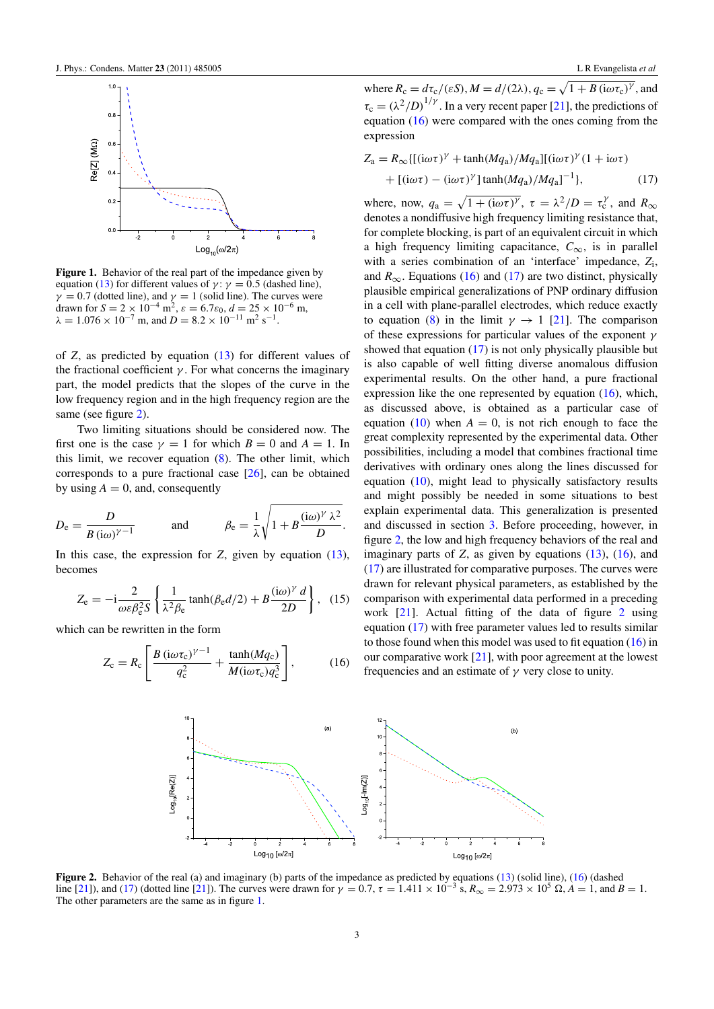<span id="page-3-1"></span>

Figure 1. Behavior of the real part of the impedance given by equation [\(13\)](#page-2-6) for different values of  $\gamma$ :  $\gamma = 0.5$  (dashed line),  $\gamma = 0.7$  (dotted line), and  $\gamma = 1$  (solid line). The curves were drawn for  $S = 2 \times 10^{-4}$  m<sup>2</sup>,  $\varepsilon = 6.7 \varepsilon_0$ ,  $d = 25 \times 10^{-6}$  m,  $\lambda = 1.076 \times 10^{-7}$  m, and  $D = 8.2 \times 10^{-11}$  m<sup>2</sup> s<sup>-1</sup>.

of *Z*, as predicted by equation [\(13\)](#page-2-6) for different values of the fractional coefficient  $\gamma$ . For what concerns the imaginary part, the model predicts that the slopes of the curve in the low frequency region and in the high frequency region are the same (see figure [2\)](#page-3-2).

Two limiting situations should be considered now. The first one is the case  $\gamma = 1$  for which  $B = 0$  and  $A = 1$ . In this limit, we recover equation [\(8\)](#page-2-2). The other limit, which corresponds to a pure fractional case [\[26\]](#page-5-13), can be obtained by using  $A = 0$ , and, consequently

$$
D_{\rm e} = \frac{D}{B\left(i\omega\right)^{\gamma-1}} \quad \text{and} \quad \beta_{\rm e} = \frac{1}{\lambda} \sqrt{1 + B \frac{\left(i\omega\right)^{\gamma} \lambda^2}{D}}.
$$

In this case, the expression for *Z*, given by equation [\(13\)](#page-2-6), becomes

$$
Z_{\rm e} = -i \frac{2}{\omega \varepsilon \beta_{\rm e}^2 S} \left\{ \frac{1}{\lambda^2 \beta_{\rm e}} \tanh(\beta_{\rm e} d/2) + B \frac{(\mathrm{i}\omega)^\gamma d}{2D} \right\}, \quad (15)
$$

which can be rewritten in the form

<span id="page-3-2"></span>
$$
Z_{\rm c} = R_{\rm c} \left[ \frac{B \left( i\omega \tau_{\rm c} \right)^{\gamma - 1}}{q_{\rm c}^2} + \frac{\tanh(Mq_{\rm c})}{M(i\omega \tau_{\rm c})q_{\rm c}^3} \right],\tag{16}
$$

where  $R_c = d\tau_c/(\varepsilon S)$ ,  $M = d/(2\lambda)$ ,  $q_c = \sqrt{1 + B(\mathrm{i}\omega \tau_c)^{\gamma}}$ , and  $\tau_c = (\lambda^2/D)^{1/\gamma}$ . In a very recent paper [\[21\]](#page-5-12), the predictions of equation [\(16\)](#page-3-3) were compared with the ones coming from the expression

<span id="page-3-4"></span>
$$
Z_{\rm a} = R_{\infty} \{ [(\mathrm{i}\omega\tau)^{\gamma} + \mathrm{tanh}(Mq_{\rm a})/Mq_{\rm a}][(\mathrm{i}\omega\tau)^{\gamma}(1 + \mathrm{i}\omega\tau) + [(\mathrm{i}\omega\tau) - (\mathrm{i}\omega\tau)^{\gamma}] \tanh(Mq_{\rm a})/Mq_{\rm a}]^{-1} \}, \tag{17}
$$

where, now,  $q_a = \sqrt{1 + (i\omega\tau)^{\gamma}}$ ,  $\tau = \lambda^2/D = \tau_c^{\gamma}$ , and  $R_{\infty}$ denotes a nondiffusive high frequency limiting resistance that, for complete blocking, is part of an equivalent circuit in which a high frequency limiting capacitance, *C*∞, is in parallel with a series combination of an 'interface' impedance, *Z*<sup>i</sup> , and  $R_{\infty}$ . Equations [\(16\)](#page-3-3) and [\(17\)](#page-3-4) are two distinct, physically plausible empirical generalizations of PNP ordinary diffusion in a cell with plane-parallel electrodes, which reduce exactly to equation [\(8\)](#page-2-2) in the limit  $\gamma \rightarrow 1$  [\[21\]](#page-5-12). The comparison of these expressions for particular values of the exponent  $\gamma$ showed that equation [\(17\)](#page-3-4) is not only physically plausible but is also capable of well fitting diverse anomalous diffusion experimental results. On the other hand, a pure fractional expression like the one represented by equation [\(16\)](#page-3-3), which, as discussed above, is obtained as a particular case of equation [\(10\)](#page-2-3) when  $A = 0$ , is not rich enough to face the great complexity represented by the experimental data. Other possibilities, including a model that combines fractional time derivatives with ordinary ones along the lines discussed for equation [\(10\)](#page-2-3), might lead to physically satisfactory results and might possibly be needed in some situations to best explain experimental data. This generalization is presented and discussed in section [3.](#page-3-0) Before proceeding, however, in figure [2,](#page-3-2) the low and high frequency behaviors of the real and imaginary parts of *Z*, as given by equations [\(13\)](#page-2-6), [\(16\)](#page-3-3), and [\(17\)](#page-3-4) are illustrated for comparative purposes. The curves were drawn for relevant physical parameters, as established by the comparison with experimental data performed in a preceding work [\[21\]](#page-5-12). Actual fitting of the data of figure [2](#page-3-2) using equation [\(17\)](#page-3-4) with free parameter values led to results similar to those found when this model was used to fit equation [\(16\)](#page-3-3) in our comparative work [\[21\]](#page-5-12), with poor agreement at the lowest frequencies and an estimate of  $\gamma$  very close to unity.

<span id="page-3-5"></span><span id="page-3-3"></span><span id="page-3-0"></span>

Figure 2. Behavior of the real (a) and imaginary (b) parts of the impedance as predicted by equations [\(13\)](#page-2-6) (solid line), [\(16\)](#page-3-3) (dashed line [\[21\]](#page-5-12)), and [\(17\)](#page-3-4) (dotted line [21]). The curves were drawn for  $\gamma = 0.7$ ,  $\tau = 1.411 \times 10^{-3}$  s,  $R_{\infty} = 2.973 \times 10^{5}$   $\Omega$ ,  $A = 1$ , and  $B = 1$ . The other parameters are the same as in figure [1.](#page-3-1)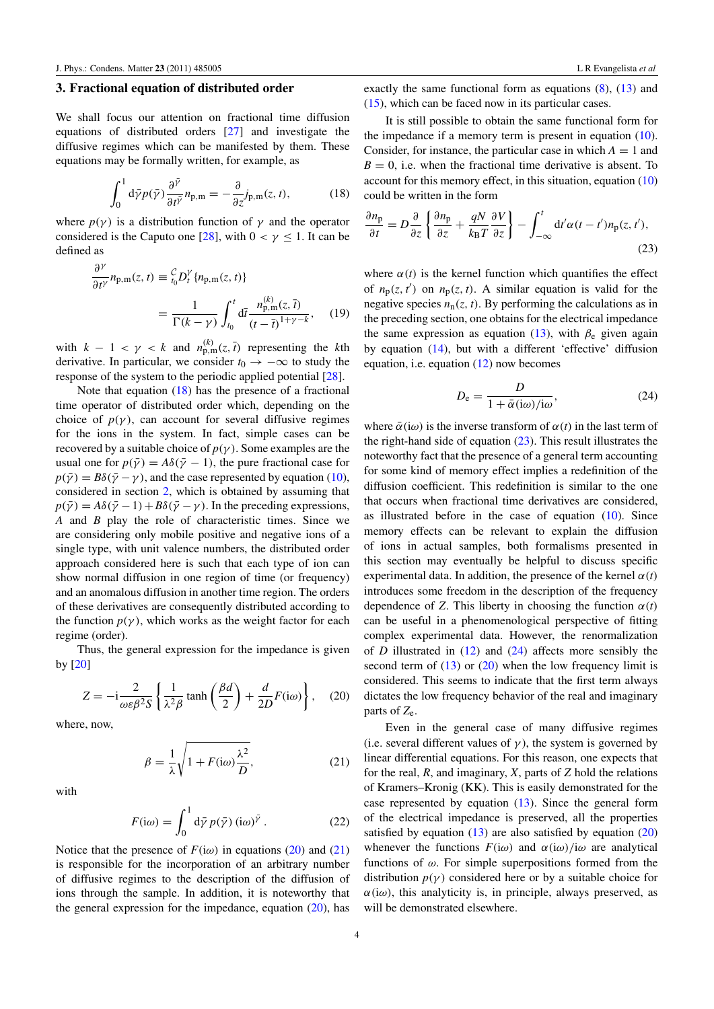### 3. Fractional equation of distributed order

We shall focus our attention on fractional time diffusion equations of distributed orders [\[27\]](#page-5-14) and investigate the diffusive regimes which can be manifested by them. These equations may be formally written, for example, as

$$
\int_0^1 d\bar{\gamma} p(\bar{\gamma}) \frac{\partial^{\bar{\gamma}}}{\partial t^{\bar{\gamma}}} n_{p,m} = -\frac{\partial}{\partial z} j_{p,m}(z,t),\tag{18}
$$

where  $p(\gamma)$  is a distribution function of  $\gamma$  and the operator considered is the Caputo one [\[28\]](#page-5-15), with  $0 < \gamma \le 1$ . It can be defined as

$$
\frac{\partial^{\gamma}}{\partial t^{\gamma}} n_{p,m}(z,t) \equiv \frac{c}{t_0} D_t^{\gamma} \{n_{p,m}(z,t)\}
$$

$$
= \frac{1}{\Gamma(k-\gamma)} \int_{t_0}^{t} d\bar{t} \frac{n_{p,m}^{(k)}(z,\bar{t})}{(t-\bar{t})^{1+\gamma-k}}, \quad (19)
$$

with  $k - 1 < \gamma < k$  and  $n_{p,m}^{(k)}(z, \bar{t})$  representing the *k*th derivative. In particular, we consider  $t_0 \rightarrow -\infty$  to study the response of the system to the periodic applied potential [\[28\]](#page-5-15).

Note that equation [\(18\)](#page-4-0) has the presence of a fractional time operator of distributed order which, depending on the choice of  $p(y)$ , can account for several diffusive regimes for the ions in the system. In fact, simple cases can be recovered by a suitable choice of  $p(y)$ . Some examples are the usual one for  $p(\bar{y}) = A\delta(\bar{y} - 1)$ , the pure fractional case for  $p(\bar{\gamma}) = B\delta(\bar{\gamma} - \gamma)$ , and the case represented by equation [\(10\)](#page-2-3), considered in section [2,](#page-1-3) which is obtained by assuming that  $p(\bar{\gamma}) = A\delta(\bar{\gamma} - 1) + B\delta(\bar{\gamma} - \gamma)$ . In the preceding expressions, *A* and *B* play the role of characteristic times. Since we are considering only mobile positive and negative ions of a single type, with unit valence numbers, the distributed order approach considered here is such that each type of ion can show normal diffusion in one region of time (or frequency) and an anomalous diffusion in another time region. The orders of these derivatives are consequently distributed according to the function  $p(y)$ , which works as the weight factor for each regime (order).

Thus, the general expression for the impedance is given by [\[20\]](#page-5-6)

$$
Z = -i\frac{2}{\omega \varepsilon \beta^2 S} \left\{ \frac{1}{\lambda^2 \beta} \tanh\left(\frac{\beta d}{2}\right) + \frac{d}{2D} F(i\omega) \right\}, \quad (20)
$$

where, now,

$$
\beta = \frac{1}{\lambda} \sqrt{1 + F(i\omega) \frac{\lambda^2}{D}},
$$
\n(21)

with

$$
F(i\omega) = \int_0^1 d\bar{\gamma} p(\bar{\gamma}) (i\omega)^{\bar{\gamma}}.
$$
 (22)

Notice that the presence of  $F(i\omega)$  in equations [\(20\)](#page-4-1) and [\(21\)](#page-4-2) is responsible for the incorporation of an arbitrary number of diffusive regimes to the description of the diffusion of ions through the sample. In addition, it is noteworthy that the general expression for the impedance, equation  $(20)$ , has exactly the same functional form as equations [\(8\)](#page-2-2), [\(13\)](#page-2-6) and [\(15\)](#page-3-5), which can be faced now in its particular cases.

It is still possible to obtain the same functional form for the impedance if a memory term is present in equation [\(10\)](#page-2-3). Consider, for instance, the particular case in which  $A = 1$  and  $B = 0$ , i.e. when the fractional time derivative is absent. To account for this memory effect, in this situation, equation [\(10\)](#page-2-3) could be written in the form

<span id="page-4-0"></span>
$$
\frac{\partial n_{\rm p}}{\partial t} = D \frac{\partial}{\partial z} \left\{ \frac{\partial n_{\rm p}}{\partial z} + \frac{qN}{k_{\rm B}T} \frac{\partial V}{\partial z} \right\} - \int_{-\infty}^{t} \mathrm{d}t' \alpha(t - t') n_{\rm p}(z, t'),\tag{23}
$$

where  $\alpha(t)$  is the kernel function which quantifies the effect of  $n_p(z, t')$  on  $n_p(z, t)$ . A similar equation is valid for the negative species  $n_n(z, t)$ . By performing the calculations as in the preceding section, one obtains for the electrical impedance the same expression as equation [\(13\)](#page-2-6), with  $\beta_e$  given again by equation [\(14\)](#page-2-7), but with a different 'effective' diffusion equation, i.e. equation [\(12\)](#page-2-8) now becomes

<span id="page-4-4"></span><span id="page-4-3"></span>
$$
D_{\rm e} = \frac{D}{1 + \bar{\alpha}(i\omega)/i\omega},\tag{24}
$$

where  $\bar{\alpha}$ (iω) is the inverse transform of  $\alpha(t)$  in the last term of the right-hand side of equation  $(23)$ . This result illustrates the noteworthy fact that the presence of a general term accounting for some kind of memory effect implies a redefinition of the diffusion coefficient. This redefinition is similar to the one that occurs when fractional time derivatives are considered, as illustrated before in the case of equation [\(10\)](#page-2-3). Since memory effects can be relevant to explain the diffusion of ions in actual samples, both formalisms presented in this section may eventually be helpful to discuss specific experimental data. In addition, the presence of the kernel  $\alpha(t)$ introduces some freedom in the description of the frequency dependence of *Z*. This liberty in choosing the function  $\alpha(t)$ can be useful in a phenomenological perspective of fitting complex experimental data. However, the renormalization of *D* illustrated in [\(12\)](#page-2-8) and [\(24\)](#page-4-4) affects more sensibly the second term of  $(13)$  or  $(20)$  when the low frequency limit is considered. This seems to indicate that the first term always dictates the low frequency behavior of the real and imaginary parts of *Z*e.

<span id="page-4-2"></span><span id="page-4-1"></span>Even in the general case of many diffusive regimes (i.e. several different values of  $\gamma$ ), the system is governed by linear differential equations. For this reason, one expects that for the real, *R*, and imaginary, *X*, parts of *Z* hold the relations of Kramers–Kronig (KK). This is easily demonstrated for the case represented by equation [\(13\)](#page-2-6). Since the general form of the electrical impedance is preserved, all the properties satisfied by equation  $(13)$  are also satisfied by equation  $(20)$ whenever the functions  $F(i\omega)$  and  $\alpha(i\omega)/i\omega$  are analytical functions of  $\omega$ . For simple superpositions formed from the distribution  $p(y)$  considered here or by a suitable choice for  $\alpha(i\omega)$ , this analyticity is, in principle, always preserved, as will be demonstrated elsewhere.